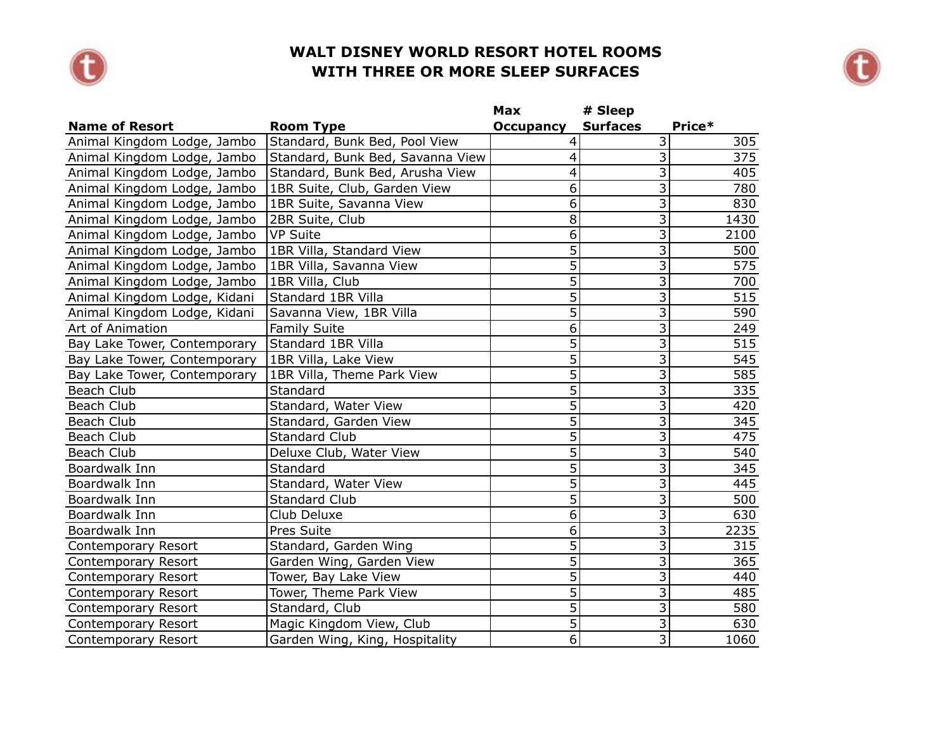



|                              |                                  | Max              | # Sleep                   |                  |
|------------------------------|----------------------------------|------------------|---------------------------|------------------|
| <b>Name of Resort</b>        | <b>Room Type</b>                 | <b>Occupancy</b> | <b>Surfaces</b>           | Price*           |
| Animal Kingdom Lodge, Jambo  | Standard, Bunk Bed, Pool View    | 4                | $\overline{3}$            | 305              |
| Animal Kingdom Lodge, Jambo  | Standard, Bunk Bed, Savanna View | 4                | $\overline{3}$            | 375              |
| Animal Kingdom Lodge, Jambo  | Standard, Bunk Bed, Arusha View  | 4                | $\overline{3}$            | 405              |
| Animal Kingdom Lodge, Jambo  | 1BR Suite, Club, Garden View     | 6                | $\overline{\mathbf{3}}$   | 780              |
| Animal Kingdom Lodge, Jambo  | 1BR Suite, Savanna View          | 6                | $\overline{\overline{3}}$ | 830              |
| Animal Kingdom Lodge, Jambo  | 2BR Suite, Club                  | 8                | $\overline{3}$            | 1430             |
| Animal Kingdom Lodge, Jambo  | VP Suite                         | 6                | $\overline{\mathbf{3}}$   | 2100             |
| Animal Kingdom Lodge, Jambo  | 1BR Villa, Standard View         | $\overline{5}$   | $\overline{3}$            | 500              |
| Animal Kingdom Lodge, Jambo  | 1BR Villa, Savanna View          | $\overline{5}$   | $\overline{\overline{3}}$ | $\overline{575}$ |
| Animal Kingdom Lodge, Jambo  | 1BR Villa, Club                  | $\overline{5}$   | $\overline{3}$            | 700              |
| Animal Kingdom Lodge, Kidani | Standard 1BR Villa               | $\overline{5}$   | $\overline{3}$            | 515              |
| Animal Kingdom Lodge, Kidani | Savanna View, 1BR Villa          | $\overline{5}$   | $\overline{3}$            | 590              |
| Art of Animation             | <b>Family Suite</b>              | 6                | $\overline{3}$            | 249              |
| Bay Lake Tower, Contemporary | Standard 1BR Villa               | $\overline{5}$   | $\overline{\mathbf{3}}$   | 515              |
| Bay Lake Tower, Contemporary | 1BR Villa, Lake View             | $\overline{5}$   | $\overline{3}$            | 545              |
| Bay Lake Tower, Contemporary | 1BR Villa, Theme Park View       | $\overline{5}$   | $\overline{3}$            | $\overline{585}$ |
| Beach Club                   | Standard                         | 5                | $\overline{3}$            | 335              |
| Beach Club                   | Standard, Water View             | 5                | $\overline{\overline{3}}$ | 420              |
| Beach Club                   | Standard, Garden View            | $\overline{5}$   | $\overline{3}$            | 345              |
| Beach Club                   | <b>Standard Club</b>             | $\overline{5}$   | 3                         | 475              |
| Beach Club                   | Deluxe Club, Water View          | $\overline{5}$   | $\overline{\mathbf{3}}$   | 540              |
| Boardwalk Inn                | Standard                         | $\overline{5}$   | $\overline{3}$            | 345              |
| Boardwalk Inn                | Standard, Water View             | $\overline{5}$   | $\overline{3}$            | 445              |
| Boardwalk Inn                | <b>Standard Club</b>             | $\overline{5}$   | $\overline{\overline{3}}$ | 500              |
| Boardwalk Inn                | Club Deluxe                      | 6                | $\overline{\overline{3}}$ | 630              |
| Boardwalk Inn                | Pres Suite                       | 6                | $\overline{3}$            | 2235             |
| Contemporary Resort          | Standard, Garden Wing            | $\overline{5}$   | $\overline{\mathbf{3}}$   | 315              |
| Contemporary Resort          | Garden Wing, Garden View         | $\overline{5}$   | $\overline{3}$            | 365              |
| Contemporary Resort          | Tower, Bay Lake View             | $\overline{5}$   | $\overline{3}$            | 440              |
| Contemporary Resort          | Tower, Theme Park View           | $\overline{5}$   | $\overline{\mathbf{3}}$   | 485              |
| Contemporary Resort          | Standard, Club                   | $\overline{5}$   | $\overline{3}$            | 580              |
| Contemporary Resort          | Magic Kingdom View, Club         | $\overline{5}$   | $\overline{3}$            | 630              |
| Contemporary Resort          | Garden Wing, King, Hospitality   | 6                | $\overline{3}$            | 1060             |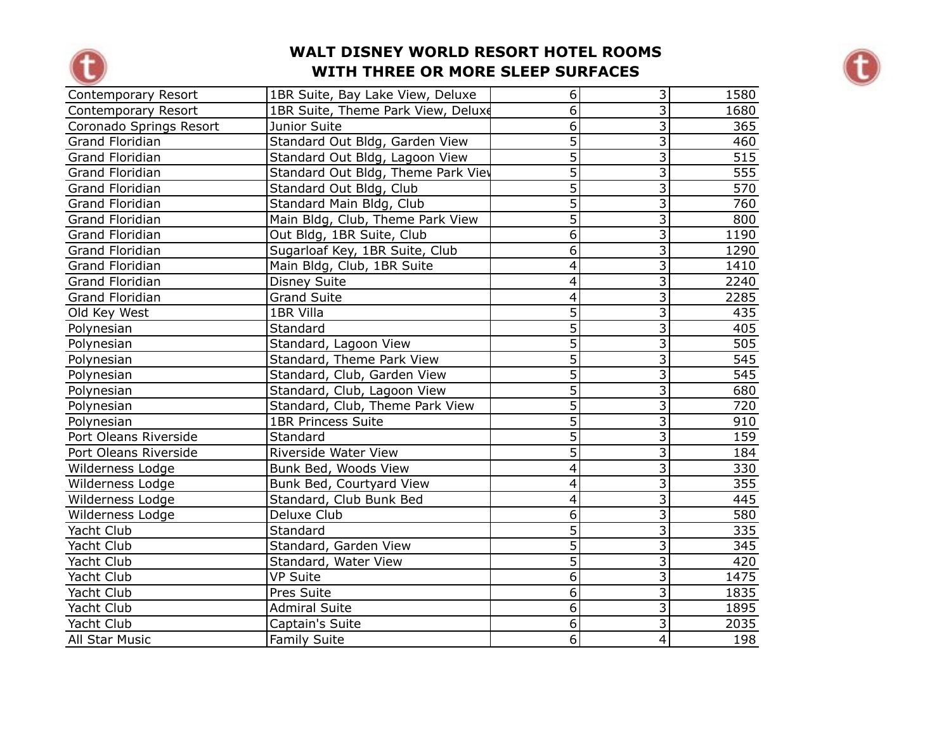



| Contemporary Resort     | 1BR Suite, Bay Lake View, Deluxe   | $\overline{6}$ | $\overline{3}$            | 1580 |
|-------------------------|------------------------------------|----------------|---------------------------|------|
| Contemporary Resort     | 1BR Suite, Theme Park View, Deluxe | 6              | $\overline{3}$            | 1680 |
| Coronado Springs Resort | Junior Suite                       | $\overline{6}$ | $\overline{3}$            | 365  |
| Grand Floridian         | Standard Out Bldg, Garden View     | 5              | $\overline{\overline{3}}$ | 460  |
| <b>Grand Floridian</b>  | Standard Out Bldg, Lagoon View     | 5              | $\overline{\mathbf{3}}$   | 515  |
| <b>Grand Floridian</b>  | Standard Out Bldg, Theme Park View | $\overline{5}$ | $\overline{\mathbf{3}}$   | 555  |
| Grand Floridian         | Standard Out Bldg, Club            | $\overline{5}$ | $\overline{3}$            | 570  |
| <b>Grand Floridian</b>  | Standard Main Bldg, Club           | $\overline{5}$ | $\overline{3}$            | 760  |
| Grand Floridian         | Main Bldg, Club, Theme Park View   | 5              | $\overline{3}$            | 800  |
| Grand Floridian         | Out Bldg, 1BR Suite, Club          | $\overline{6}$ | $\overline{3}$            | 1190 |
| <b>Grand Floridian</b>  | Sugarloaf Key, 1BR Suite, Club     | $\overline{6}$ | $\overline{3}$            | 1290 |
| <b>Grand Floridian</b>  | Main Bldg, Club, 1BR Suite         | $\overline{4}$ | $\overline{3}$            | 1410 |
| <b>Grand Floridian</b>  | <b>Disney Suite</b>                | $\overline{4}$ | $\overline{3}$            | 2240 |
| <b>Grand Floridian</b>  | <b>Grand Suite</b>                 | $\overline{4}$ | $\overline{\mathbf{3}}$   | 2285 |
| Old Key West            | 1BR Villa                          | $\overline{5}$ | $\overline{\mathbf{3}}$   | 435  |
| Polynesian              | Standard                           | $\overline{5}$ | $\overline{\overline{3}}$ | 405  |
| Polynesian              | Standard, Lagoon View              | $\overline{5}$ | $\overline{3}$            | 505  |
| Polynesian              | Standard, Theme Park View          | $\overline{5}$ | $\overline{\overline{3}}$ | 545  |
| Polynesian              | Standard, Club, Garden View        | $\overline{5}$ | $\overline{\mathbf{3}}$   | 545  |
| Polynesian              | Standard, Club, Lagoon View        | $\overline{5}$ | $\overline{3}$            | 680  |
| Polynesian              | Standard, Club, Theme Park View    | $\overline{5}$ | $\overline{\mathbf{3}}$   | 720  |
| Polynesian              | <b>1BR Princess Suite</b>          | $\overline{5}$ | $\overline{3}$            | 910  |
| Port Oleans Riverside   | Standard                           | $\overline{5}$ | $\overline{3}$            | 159  |
| Port Oleans Riverside   | Riverside Water View               | $\overline{5}$ | $\overline{3}$            | 184  |
| Wilderness Lodge        | Bunk Bed, Woods View               | $\overline{4}$ | $\overline{3}$            | 330  |
| Wilderness Lodge        | Bunk Bed, Courtyard View           | $\overline{4}$ | $\overline{3}$            | 355  |
| Wilderness Lodge        | Standard, Club Bunk Bed            | $\overline{4}$ | $\overline{3}$            | 445  |
| Wilderness Lodge        | Deluxe Club                        | 6              | $\overline{\mathbf{3}}$   | 580  |
| Yacht Club              | Standard                           | 5              | $\overline{3}$            | 335  |
| Yacht Club              | Standard, Garden View              | $\overline{5}$ | $\overline{3}$            | 345  |
| Yacht Club              | Standard, Water View               | 5              | $\overline{3}$            | 420  |
| Yacht Club              | <b>VP Suite</b>                    | 6              | $\overline{3}$            | 1475 |
| Yacht Club              | Pres Suite                         | $\overline{6}$ | $\overline{3}$            | 1835 |
| Yacht Club              | <b>Admiral Suite</b>               | $6\,$          | $\overline{\overline{3}}$ | 1895 |
| Yacht Club              | Captain's Suite                    | 6              | $\overline{3}$            | 2035 |
| All Star Music          | <b>Family Suite</b>                | $\overline{6}$ | $\overline{4}$            | 198  |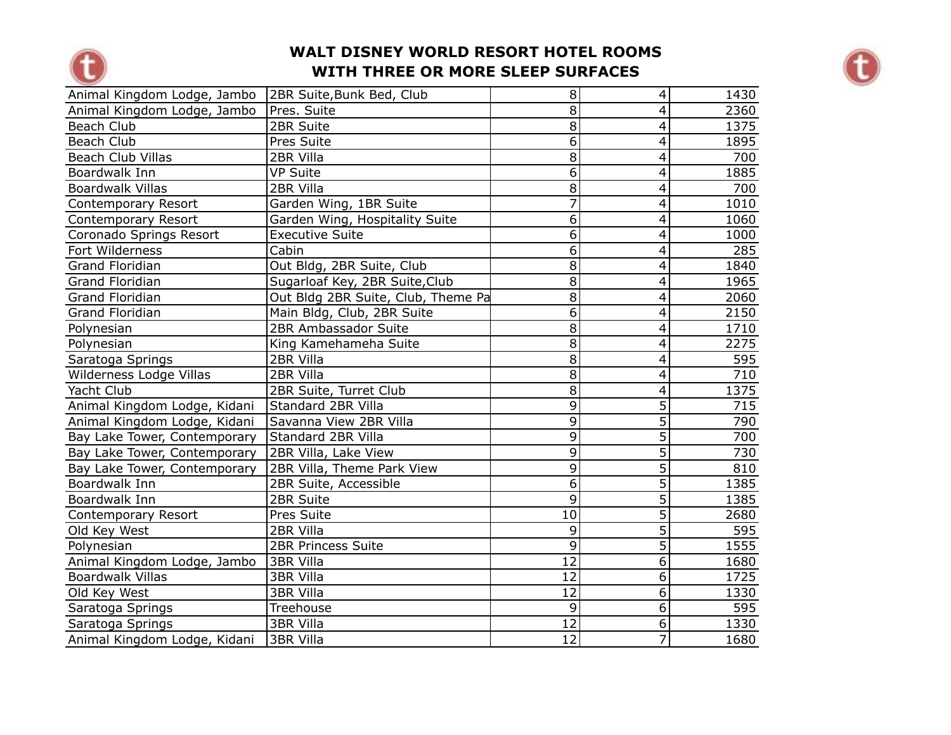



| Animal Kingdom Lodge, Jambo  | 2BR Suite, Bunk Bed, Club          | 8              | $\overline{\mathcal{A}}$ | 1430 |
|------------------------------|------------------------------------|----------------|--------------------------|------|
| Animal Kingdom Lodge, Jambo  | Pres. Suite                        | 8              | 4                        | 2360 |
| Beach Club                   | 2BR Suite                          | $\overline{8}$ | 4                        | 1375 |
| Beach Club                   | Pres Suite                         | $\overline{6}$ | 4                        | 1895 |
| <b>Beach Club Villas</b>     | 2BR Villa                          | $\bf 8$        | 4                        | 700  |
| Boardwalk Inn                | <b>VP Suite</b>                    | $\overline{6}$ | $\overline{4}$           | 1885 |
| <b>Boardwalk Villas</b>      | 2BR Villa                          | 8              | $\overline{4}$           | 700  |
| <b>Contemporary Resort</b>   | Garden Wing, 1BR Suite             | 7              | $\overline{\mathcal{A}}$ | 1010 |
| Contemporary Resort          | Garden Wing, Hospitality Suite     | 6              | $\overline{4}$           | 1060 |
| Coronado Springs Resort      | <b>Executive Suite</b>             | 6              | 4                        | 1000 |
| Fort Wilderness              | Cabin                              | 6              | 4                        | 285  |
| <b>Grand Floridian</b>       | Out Bldg, 2BR Suite, Club          | 8              | 4                        | 1840 |
| Grand Floridian              | Sugarloaf Key, 2BR Suite, Club     | 8              | $\overline{4}$           | 1965 |
| Grand Floridian              | Out Bldg 2BR Suite, Club, Theme Pa | 8              | $\overline{4}$           | 2060 |
| Grand Floridian              | Main Bldg, Club, 2BR Suite         | $\overline{6}$ | 4                        | 2150 |
| Polynesian                   | 2BR Ambassador Suite               | $\overline{8}$ | $\overline{\mathcal{A}}$ | 1710 |
| Polynesian                   | King Kamehameha Suite              | $\overline{8}$ | 4                        | 2275 |
| Saratoga Springs             | 2BR Villa                          | $\overline{8}$ | 4                        | 595  |
| Wilderness Lodge Villas      | 2BR Villa                          | 8              | 4                        | 710  |
| Yacht Club                   | 2BR Suite, Turret Club             | 8              | $\overline{4}$           | 1375 |
| Animal Kingdom Lodge, Kidani | Standard 2BR Villa                 | 9              | $\overline{5}$           | 715  |
| Animal Kingdom Lodge, Kidani | Savanna View 2BR Villa             | 9              | $\overline{5}$           | 790  |
| Bay Lake Tower, Contemporary | Standard 2BR Villa                 | 9              | $\overline{5}$           | 700  |
| Bay Lake Tower, Contemporary | 2BR Villa, Lake View               | 9              | $\overline{5}$           | 730  |
| Bay Lake Tower, Contemporary | 2BR Villa, Theme Park View         | 9              | $\overline{5}$           | 810  |
| Boardwalk Inn                | 2BR Suite, Accessible              | $\overline{6}$ | $\overline{5}$           | 1385 |
| Boardwalk Inn                | 2BR Suite                          | 9              | $\overline{5}$           | 1385 |
| Contemporary Resort          | Pres Suite                         | 10             | $\overline{5}$           | 2680 |
| Old Key West                 | 2BR Villa                          | 9              | $\overline{5}$           | 595  |
| Polynesian                   | <b>2BR Princess Suite</b>          | $\overline{9}$ | $\overline{5}$           | 1555 |
| Animal Kingdom Lodge, Jambo  | 3BR Villa                          | 12             | $\overline{6}$           | 1680 |
| <b>Boardwalk Villas</b>      | 3BR Villa                          | 12             | $\overline{6}$           | 1725 |
| Old Key West                 | <b>3BR Villa</b>                   | 12             | $\overline{6}$           | 1330 |
| Saratoga Springs             | Treehouse                          | 9              | $6\overline{6}$          | 595  |
| Saratoga Springs             | 3BR Villa                          | 12             | $\overline{6}$           | 1330 |
| Animal Kingdom Lodge, Kidani | 3BR Villa                          | 12             | $\overline{7}$           | 1680 |